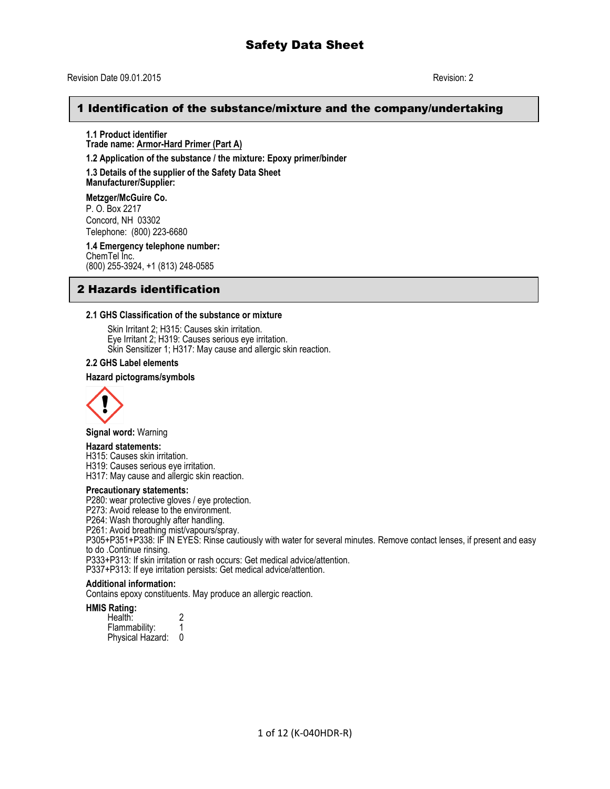# Revision Date 09.01.2015 Revision: 2

# 1 Identification of the substance/mixture and the company/undertaking

**1.1 Product identifier Trade name: Armor-Hard Primer (Part A)**

**1.2 Application of the substance / the mixture: Epoxy primer/binder** 

**1.3 Details of the supplier of the Safety Data Sheet** 

**Manufacturer/Supplier:**

**Metzger/McGuire Co.**  P. O. Box 2217 Concord, NH 03302 Telephone: (800) 223-6680

**1.4 Emergency telephone number:**  ChemTel Inc. (800) 255-3924, +1 (813) 248-0585

# 2 Hazards identification

#### **2.1 GHS Classification of the substance or mixture**

Skin Irritant 2; H315: Causes skin irritation. Eye Irritant 2; H319: Causes serious eye irritation. Skin Sensitizer 1; H317: May cause and allergic skin reaction.

### **2.2 GHS Label elements**

#### **Hazard pictograms/symbols**



**Signal word:** Warning

#### **Hazard statements:**

H315: Causes skin irritation.

H319: Causes serious eye irritation.

H317: May cause and allergic skin reaction.

#### **Precautionary statements:**

P280: wear protective gloves / eye protection.

P273: Avoid release to the environment.

P264: Wash thoroughly after handling.

P261: Avoid breathing mist/vapours/spray.

P305+P351+P338: IF IN EYES: Rinse cautiously with water for several minutes. Remove contact lenses, if present and easy to do .Continue rinsing.

P333+P313: If skin irritation or rash occurs: Get medical advice/attention.

P337+P313: If eye irritation persists: Get medical advice/attention.

# **Additional information:**

Contains epoxy constituents. May produce an allergic reaction.

#### **HMIS Rating:**

| Health:          |   |
|------------------|---|
| Flammability:    |   |
| Physical Hazard: | O |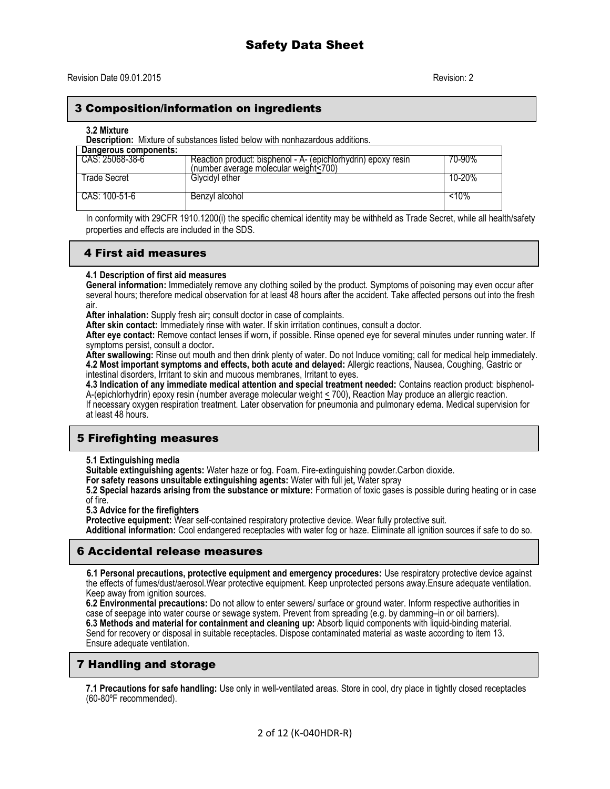# 3 Composition/information on ingredients

**3.2 Mixture** 

**Description:** Mixture of substances listed below with nonhazardous additions.

| Dangerous components: |                                                                                                        |        |
|-----------------------|--------------------------------------------------------------------------------------------------------|--------|
| CAS: 25068-38-6       | Reaction product: bisphenol - A- (epichlorhydrin) epoxy resin<br>(number average molecular weight<700) | 70-90% |
| Trade Secret          | Glycidyl ether                                                                                         | 10-20% |
| CAS: 100-51-6         | Benzvl alcohol                                                                                         | <10%   |

In conformity with 29CFR 1910.1200(i) the specific chemical identity may be withheld as Trade Secret, while all health/safety properties and effects are included in the SDS.

# 4 First aid measures

#### **4.1 Description of first aid measures**

**General information:** Immediately remove any clothing soiled by the product. Symptoms of poisoning may even occur after several hours; therefore medical observation for at least 48 hours after the accident. Take affected persons out into the fresh air.

**After inhalation:** Supply fresh air**;** consult doctor in case of complaints.

**After skin contact:** Immediately rinse with water. If skin irritation continues, consult a doctor.

**After eye contact:** Remove contact lenses if worn, if possible. Rinse opened eye for several minutes under running water. If symptoms persist, consult a doctor**.** 

**After swallowing:** Rinse out mouth and then drink plenty of water. Do not Induce vomiting; call for medical help immediately. **4.2 Most important symptoms and effects, both acute and delayed:** Allergic reactions, Nausea, Coughing, Gastric or intestinal disorders, Irritant to skin and mucous membranes, Irritant to eyes.

**4.3 Indication of any immediate medical attention and special treatment needed:** Contains reaction product: bisphenol-A-(epichlorhydrin) epoxy resin (number average molecular weight < 700), Reaction May produce an allergic reaction. If necessary oxygen respiration treatment. Later observation for pneumonia and pulmonary edema. Medical supervision for at least 48 hours.

# 5 Firefighting measures

**5.1 Extinguishing media** 

**Suitable extinguishing agents:** Water haze or fog. Foam. Fire-extinguishing powder.Carbon dioxide.

**For safety reasons unsuitable extinguishing agents:** Water with full jet**,** Water spray

**5.2 Special hazards arising from the substance or mixture:** Formation of toxic gases is possible during heating or in case of fire.

**5.3 Advice for the firefighters** 

**Protective equipment:** Wear self-contained respiratory protective device. Wear fully protective suit.

**Additional information:** Cool endangered receptacles with water fog or haze. Eliminate all ignition sources if safe to do so.

# 6 Accidental release measures

 **6.1 Personal precautions, protective equipment and emergency procedures:** Use respiratory protective device against the effects of fumes/dust/aerosol.Wear protective equipment. Keep unprotected persons away.Ensure adequate ventilation. Keep away from ignition sources.

**6.2 Environmental precautions:** Do not allow to enter sewers/ surface or ground water. Inform respective authorities in case of seepage into water course or sewage system. Prevent from spreading (e.g. by damming–in or oil barriers). **6.3 Methods and material for containment and cleaning up:** Absorb liquid components with liquid-binding material. Send for recovery or disposal in suitable receptacles. Dispose contaminated material as waste according to item 13. Ensure adequate ventilation.

# 7 Handling and storage

**7.1 Precautions for safe handling:** Use only in well-ventilated areas. Store in cool, dry place in tightly closed receptacles (60-80ºF recommended).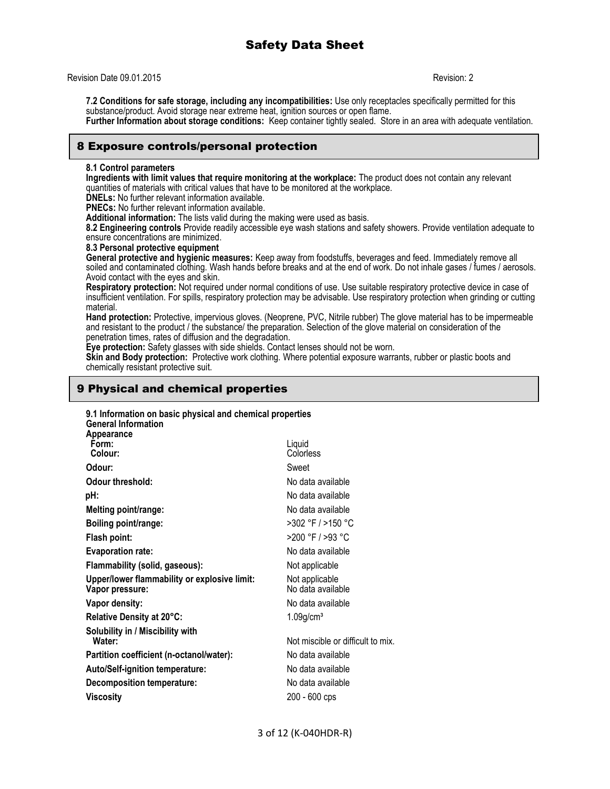Revision Date 09.01.2015 Revision: 2

**7.2 Conditions for safe storage, including any incompatibilities:** Use only receptacles specifically permitted for this substance/product. Avoid storage near extreme heat, ignition sources or open flame. **Further Information about storage conditions:** Keep container tightly sealed. Store in an area with adequate ventilation.

# 8 Exposure controls/personal protection

#### **8.1 Control parameters**

**Ingredients with limit values that require monitoring at the workplace:** The product does not contain any relevant quantities of materials with critical values that have to be monitored at the workplace.

**DNELs:** No further relevant information available.

**PNECs:** No further relevant information available.

**Additional information:** The lists valid during the making were used as basis.

**8.2 Engineering controls** Provide readily accessible eye wash stations and safety showers. Provide ventilation adequate to ensure concentrations are minimized.

#### **8.3 Personal protective equipment**

**General protective and hygienic measures:** Keep away from foodstuffs, beverages and feed. Immediately remove all soiled and contaminated clothing. Wash hands before breaks and at the end of work. Do not inhale gases / fumes / aerosols. Avoid contact with the eyes and skin.

**Respiratory protection:** Not required under normal conditions of use. Use suitable respiratory protective device in case of insufficient ventilation. For spills, respiratory protection may be advisable. Use respiratory protection when grinding or cutting material.

**Hand protection:** Protective, impervious gloves. (Neoprene, PVC, Nitrile rubber) The glove material has to be impermeable and resistant to the product / the substance/ the preparation. Selection of the glove material on consideration of the penetration times, rates of diffusion and the degradation.

**Eye protection:** Safety glasses with side shields. Contact lenses should not be worn.

**Skin and Body protection:** Protective work clothing. Where potential exposure warrants, rubber or plastic boots and chemically resistant protective suit.

# 9 Physical and chemical properties

# **9.1 Information on basic physical and chemical properties**

| Liquid<br>Colorless                 |
|-------------------------------------|
| Sweet                               |
| No data available                   |
| No data available                   |
| No data available                   |
| >302 °F / >150 °C                   |
| >200 °F / >93 °C                    |
| No data available                   |
| Not applicable                      |
| Not applicable<br>No data available |
| No data available                   |
| $1.09$ g/cm <sup>3</sup>            |
| Not miscible or difficult to mix.   |
| No data available                   |
| No data available                   |
| No data available                   |
| 200 - 600 cps                       |
|                                     |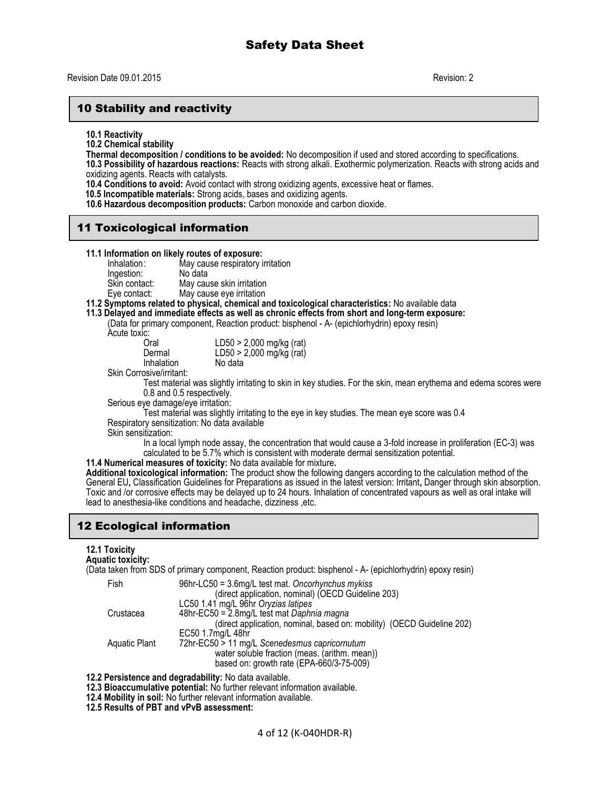# 10 Stability and reactivity

**10.1 Reactivity**

**10.2 Chemical stability**

**Thermal decomposition / conditions to be avoided:** No decomposition if used and stored according to specifications.

**10.3 Possibility of hazardous reactions:** Reacts with strong alkali. Exothermic polymerization. Reacts with strong acids and oxidizing agents. Reacts with catalysts.

**10.4 Conditions to avoid:** Avoid contact with strong oxidizing agents, excessive heat or flames.

- **10.5 Incompatible materials:** Strong acids, bases and oxidizing agents.
- **10.6 Hazardous decomposition products:** Carbon monoxide and carbon dioxide.

# 11 Toxicological information

# **11.1 Information on likely routes of exposure:**

May cause respiratory irritation<br>No data Ingestion: Skin contact: May cause skin irritation<br>
Eye contact: May cause eye irritation

May cause eye irritation

# **11.2 Symptoms related to physical, chemical and toxicological characteristics:** No available data

### **11.3 Delayed and immediate effects as well as chronic effects from short and long-term exposure:**

(Data for primary component, Reaction product: bisphenol - A- (epichlorhydrin) epoxy resin)

Acute toxic:

| LD50 > 2,000 mg/kg (rat)<br>$LD50 > 2,000$ mg/kg (rat) |
|--------------------------------------------------------|
| No data                                                |
|                                                        |

Skin Corrosive/irritant:

Test material was slightly irritating to skin in key studies. For the skin, mean erythema and edema scores were 0.8 and 0.5 respectively.

Serious eye damage/eye irritation:

Test material was slightly irritating to the eye in key studies. The mean eye score was 0.4 Respiratory sensitization: No data available

Skin sensitization:

In a local lymph node assay, the concentration that would cause a 3-fold increase in proliferation (EC-3) was calculated to be 5.7% which is consistent with moderate dermal sensitization potential.

**11.4 Numerical measures of toxicity:** No data available for mixture**.**

**Additional toxicological information:** The product show the following dangers according to the calculation method of the General EU**,** Classification Guidelines for Preparations as issued in the latest version: Irritant**,** Danger through skin absorption. Toxic and /or corrosive effects may be delayed up to 24 hours. Inhalation of concentrated vapours as well as oral intake will lead to anesthesia-like conditions and headache, dizziness ,etc.

# 12 Ecological information

# **12.1 Toxicity**

**Aquatic toxicity:**

(Data taken from SDS of primary component, Reaction product: bisphenol - A- (epichlorhydrin) epoxy resin)

| Fish          | 96hr-LC50 = 3.6mg/L test mat. Oncorhynchus mykiss                      |  |  |
|---------------|------------------------------------------------------------------------|--|--|
|               | (direct application, nominal) (OECD Guideline 203)                     |  |  |
|               | LC50 1.41 mg/L 96hr Oryzias latipes                                    |  |  |
| Crustacea     | 48hr-EC50 = 2.8mg/L test mat Daphnia magna                             |  |  |
|               | (direct application, nominal, based on: mobility) (OECD Guideline 202) |  |  |
|               | EC50 1.7mg/L 48hr                                                      |  |  |
| Aquatic Plant | 72hr-EC50 > 11 mg/L Scenedesmus capricornutum                          |  |  |
|               | water soluble fraction (meas. (arithm. mean))                          |  |  |
|               | based on: growth rate (EPA-660/3-75-009)                               |  |  |

**12.2 Persistence and degradability:** No data available.

**12.3 Bioaccumulative potential:** No further relevant information available.

**12.4 Mobility in soil:** No further relevant information available.

**12.5 Results of PBT and vPvB assessment:**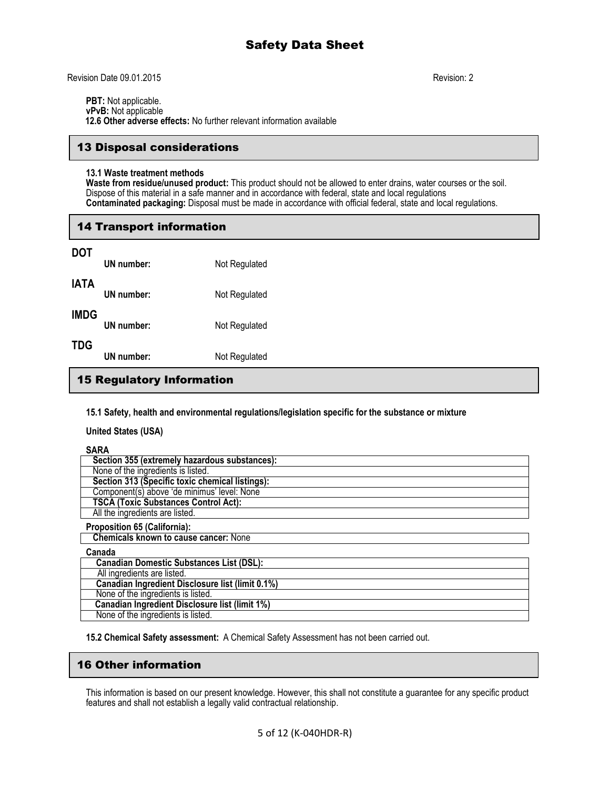Revision Date 09.01.2015 Revision: 2

**PBT:** Not applicable. **vPvB:** Not applicable

 **12.6 Other adverse effects:** No further relevant information available

# 13 Disposal considerations

### **13.1 Waste treatment methods**

**Waste from residue/unused product:** This product should not be allowed to enter drains, water courses or the soil. Dispose of this material in a safe manner and in accordance with federal, state and local regulations **Contaminated packaging:** Disposal must be made in accordance with official federal, state and local regulations.

# 14 Transport information

| DOT  | UN number: | Not Regulated |
|------|------------|---------------|
| IATA | UN number: | Not Regulated |
| IMDG | UN number: | Not Regulated |
| TDG  | UN number: | Not Regulated |

# 15 Regulatory Information

**15.1 Safety, health and environmental regulations/legislation specific for the substance or mixture**

**United States (USA)**

**SARA**

| SARA                                                  |
|-------------------------------------------------------|
| Section 355 (extremely hazardous substances):         |
| None of the ingredients is listed.                    |
| Section 313 (Specific toxic chemical listings):       |
| Component(s) above 'de minimus' level: None           |
| <b>TSCA (Toxic Substances Control Act):</b>           |
| All the ingredients are listed.                       |
| <b>Proposition 65 (California):</b>                   |
| <b>Chemicals known to cause cancer: None</b>          |
| Canada                                                |
| <b>Canadian Domestic Substances List (DSL):</b>       |
| All ingredients are listed.                           |
| Canadian Ingredient Disclosure list (limit 0.1%)      |
| None of the ingredients is listed.                    |
| <b>Canadian Ingredient Disclosure list (limit 1%)</b> |
| None of the ingredients is listed.                    |

**15.2 Chemical Safety assessment:** A Chemical Safety Assessment has not been carried out.

# 16 Other information

This information is based on our present knowledge. However, this shall not constitute a guarantee for any specific product features and shall not establish a legally valid contractual relationship.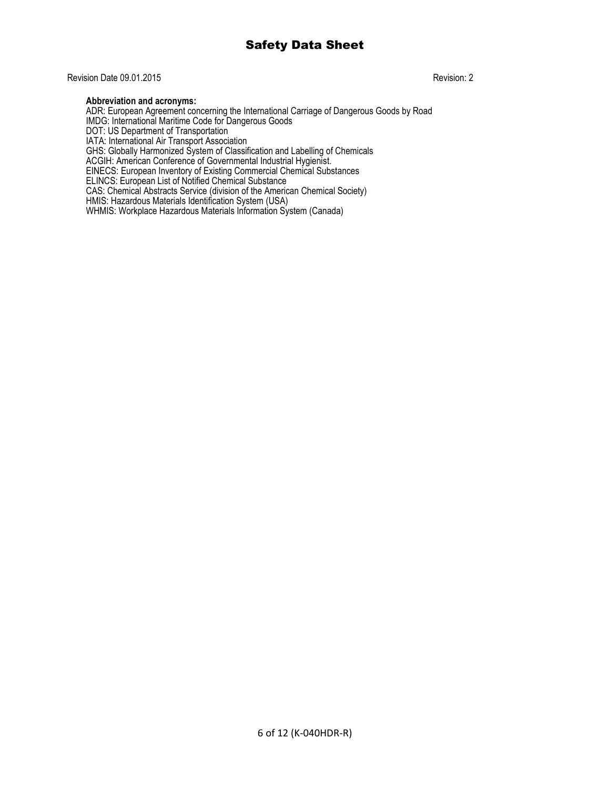### Revision Date 09.01.2015 Revision: 2

#### **Abbreviation and acronyms:**

ADR: European Agreement concerning the International Carriage of Dangerous Goods by Road IMDG: International Maritime Code for Dangerous Goods DOT: US Department of Transportation IATA: International Air Transport Association GHS: Globally Harmonized System of Classification and Labelling of Chemicals ACGIH: American Conference of Governmental Industrial Hygienist. EINECS: European Inventory of Existing Commercial Chemical Substances ELINCS: European List of Notified Chemical Substance CAS: Chemical Abstracts Service (division of the American Chemical Society) HMIS: Hazardous Materials Identification System (USA) WHMIS: Workplace Hazardous Materials Information System (Canada)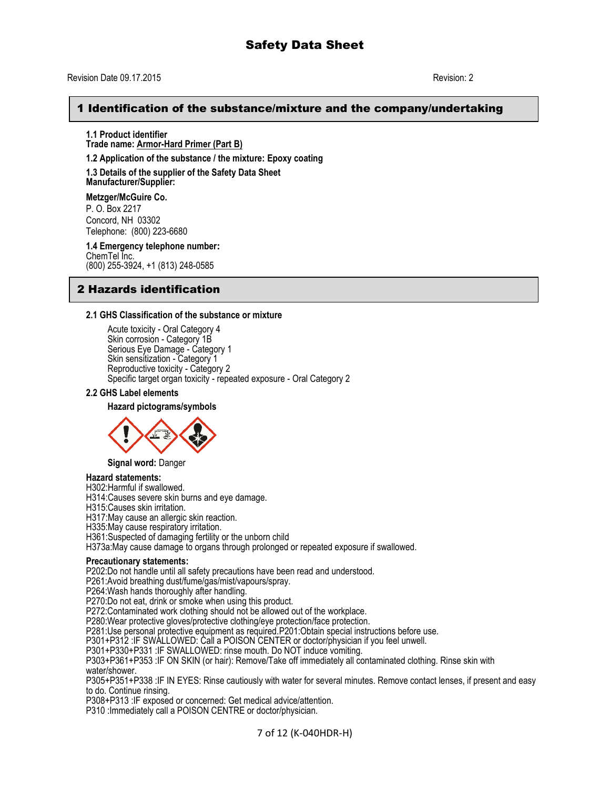#### Revision Date 09.17.2015 Revision: 2

# 1 Identification of the substance/mixture and the company/undertaking

**1.1 Product identifier Trade name: Armor-Hard Primer (Part B)**

**1.2 Application of the substance / the mixture: Epoxy coating** 

**1.3 Details of the supplier of the Safety Data Sheet Manufacturer/Supplier:**

**Metzger/McGuire Co.** P. O. Box 2217 Concord, NH 03302 Telephone: (800) 223-6680

**1.4 Emergency telephone number:** ChemTel Inc. (800) 255-3924, +1 (813) 248-0585

# 2 Hazards identification

#### **2.1 GHS Classification of the substance or mixture**

Acute toxicity - Oral Category 4 Skin corrosion - Category 1B Serious Eye Damage - Category 1 Skin sensitization - Category 1 Reproductive toxicity - Category 2 Specific target organ toxicity - repeated exposure - Oral Category 2

**2.2 GHS Label elements**

#### **Hazard pictograms/symbols**



**Signal word:** Danger

#### **Hazard statements:**

H302:Harmful if swallowed.

H314:Causes severe skin burns and eye damage.

H315:Causes skin irritation.

H317:May cause an allergic skin reaction.

H335: May cause respiratory irritation.

H361:Suspected of damaging fertility or the unborn child

H373a:May cause damage to organs through prolonged or repeated exposure if swallowed.

#### **Precautionary statements:**

P202:Do not handle until all safety precautions have been read and understood.

P261:Avoid breathing dust/fume/gas/mist/vapours/spray.

P264: Wash hands thoroughly after handling.

P270:Do not eat, drink or smoke when using this product.

P272:Contaminated work clothing should not be allowed out of the workplace.

P280:Wear protective gloves/protective clothing/eye protection/face protection.

P281:Use personal protective equipment as required.P201:Obtain special instructions before use.

P301+P312 :IF SWALLOWED: Call a POISON CENTER or doctor/physician if you feel unwell.

P301+P330+P331 :IF SWALLOWED: rinse mouth. Do NOT induce vomiting.

P303+P361+P353 :IF ON SKIN (or hair): Remove/Take off immediately all contaminated clothing. Rinse skin with water/shower.

P305+P351+P338 :IF IN EYES: Rinse cautiously with water for several minutes. Remove contact lenses, if present and easy to do. Continue rinsing.

P308+P313 :IF exposed or concerned: Get medical advice/attention.

P310 :Immediately call a POISON CENTRE or doctor/physician.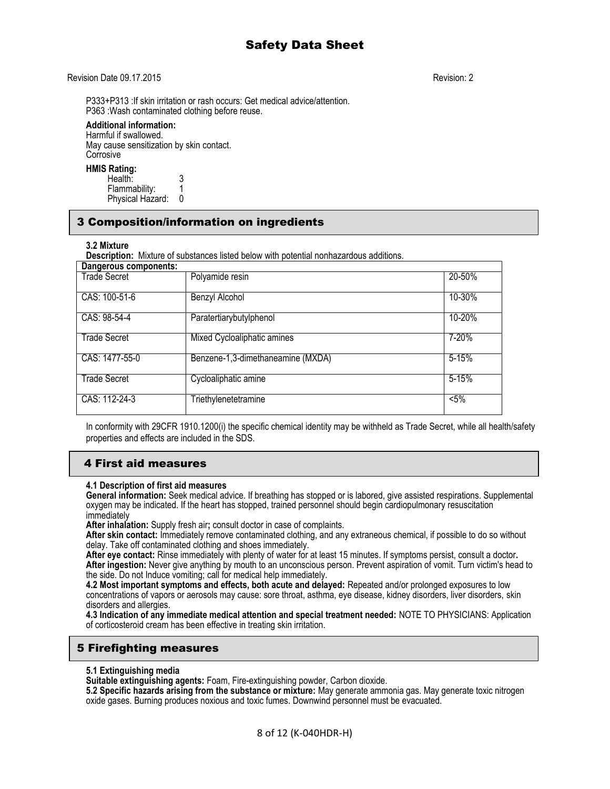### Revision Date 09.17.2015 Revision: 2

P333+P313 :If skin irritation or rash occurs: Get medical advice/attention. P363 :Wash contaminated clothing before reuse.

#### **Additional information:**

Harmful if swallowed. May cause sensitization by skin contact. Corrosive

#### **HMIS Rating:**

Health: 3<br>Flammability: 1 Flammability: 1 Physical Hazard: 0

# 3 Composition/information on ingredients

#### **3.2 Mixture**

**Description:** Mixture of substances listed below with potential nonhazardous additions.

| <b>Dangerous components:</b> |                                   |           |
|------------------------------|-----------------------------------|-----------|
| Trade Secret                 | Polyamide resin                   | 20-50%    |
| CAS: 100-51-6                | Benzyl Alcohol                    | 10-30%    |
| CAS: 98-54-4                 | Paratertiarybutylphenol           | 10-20%    |
| Trade Secret                 | Mixed Cycloaliphatic amines       | 7-20%     |
| CAS: 1477-55-0               | Benzene-1,3-dimethaneamine (MXDA) | $5 - 15%$ |
| <b>Trade Secret</b>          | Cycloaliphatic amine              | $5 - 15%$ |
| CAS: 112-24-3                | Triethylenetetramine              | $< 5\%$   |

In conformity with 29CFR 1910.1200(i) the specific chemical identity may be withheld as Trade Secret, while all health/safety properties and effects are included in the SDS.

# 4 First aid measures

#### **4.1 Description of first aid measures**

**General information:** Seek medical advice. If breathing has stopped or is labored, give assisted respirations. Supplemental oxygen may be indicated. If the heart has stopped, trained personnel should begin cardiopulmonary resuscitation immediately

**After inhalation:** Supply fresh air**;** consult doctor in case of complaints.

**After skin contact:** Immediately remove contaminated clothing, and any extraneous chemical, if possible to do so without delay. Take off contaminated clothing and shoes immediately.

**After eye contact:** Rinse immediately with plenty of water for at least 15 minutes. If symptoms persist, consult a doctor**. After ingestion:** Never give anything by mouth to an unconscious person. Prevent aspiration of vomit. Turn victim's head to the side. Do not Induce vomiting; call for medical help immediately.

**4.2 Most important symptoms and effects, both acute and delayed:** Repeated and/or prolonged exposures to low concentrations of vapors or aerosols may cause: sore throat, asthma, eye disease, kidney disorders, liver disorders, skin disorders and allergies.

**4.3 Indication of any immediate medical attention and special treatment needed:** NOTE TO PHYSICIANS: Application of corticosteroid cream has been effective in treating skin irritation.

# 5 Firefighting measures

#### **5.1 Extinguishing media**

**Suitable extinguishing agents:** Foam, Fire-extinguishing powder, Carbon dioxide.

**5.2 Specific hazards arising from the substance or mixture:** May generate ammonia gas. May generate toxic nitrogen oxide gases. Burning produces noxious and toxic fumes. Downwind personnel must be evacuated.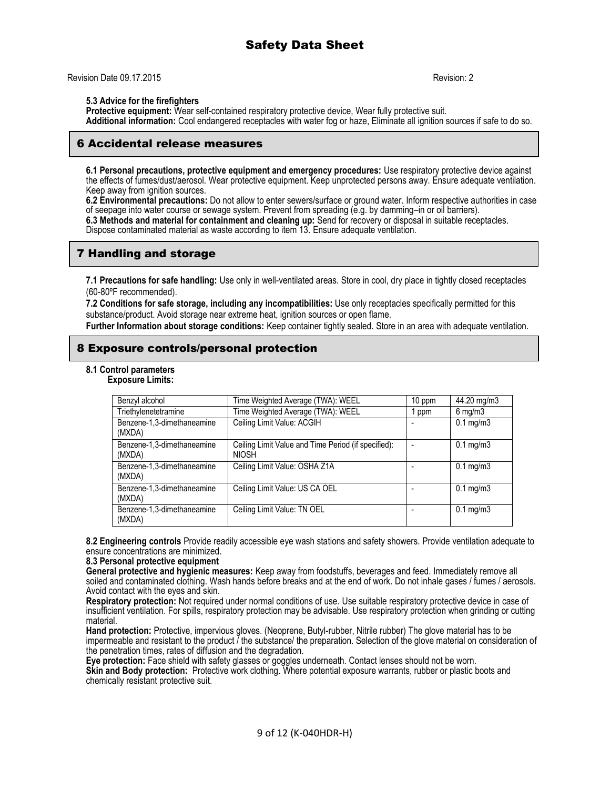Revision Date 09.17.2015 Revision: 2

#### **5.3 Advice for the firefighters**

**Protective equipment:** Wear self-contained respiratory protective device, Wear fully protective suit. **Additional information:** Cool endangered receptacles with water fog or haze, Eliminate all ignition sources if safe to do so.

# 6 Accidental release measures

**6.1 Personal precautions, protective equipment and emergency procedures:** Use respiratory protective device against the effects of fumes/dust/aerosol. Wear protective equipment. Keep unprotected persons away. Ensure adequate ventilation. Keep away from ignition sources.

**6.2 Environmental precautions:** Do not allow to enter sewers/surface or ground water. Inform respective authorities in case of seepage into water course or sewage system. Prevent from spreading (e.g. by damming–in or oil barriers).

**6.3 Methods and material for containment and cleaning up:** Send for recovery or disposal in suitable receptacles. Dispose contaminated material as waste according to item 13. Ensure adequate ventilation.

# 7 Handling and storage

**7.1 Precautions for safe handling:** Use only in well-ventilated areas. Store in cool, dry place in tightly closed receptacles (60-80ºF recommended).

**7.2 Conditions for safe storage, including any incompatibilities:** Use only receptacles specifically permitted for this substance/product. Avoid storage near extreme heat, ignition sources or open flame.

**Further Information about storage conditions:** Keep container tightly sealed. Store in an area with adequate ventilation.

# 8 Exposure controls/personal protection

**8.1 Control parameters**

**Exposure Limits:**

| Benzyl alcohol                       | Time Weighted Average (TWA): WEEL                                   | 10 ppm | 44.20 mg/m3          |
|--------------------------------------|---------------------------------------------------------------------|--------|----------------------|
| Triethylenetetramine                 | Time Weighted Average (TWA): WEEL                                   | ppm    | $6$ mg/m $3$         |
| Benzene-1,3-dimethaneamine<br>(MXDA) | Ceiling Limit Value: ACGIH                                          |        | $0.1 \text{ mg/m}$ 3 |
| Benzene-1,3-dimethaneamine<br>(MXDA) | Ceiling Limit Value and Time Period (if specified):<br><b>NIOSH</b> |        | $0.1 \text{ mg/m}$ 3 |
| Benzene-1,3-dimethaneamine<br>(MXDA) | Ceiling Limit Value: OSHA Z1A                                       |        | $0.1 \text{ mg/m}$ 3 |
| Benzene-1,3-dimethaneamine<br>(MXDA) | Ceiling Limit Value: US CA OEL                                      |        | $0.1 \text{ mg/m}$ 3 |
| Benzene-1,3-dimethaneamine<br>(MXDA) | Ceiling Limit Value: TN OEL                                         |        | $0.1 \text{ mg/m}$ 3 |

**8.2 Engineering controls** Provide readily accessible eye wash stations and safety showers. Provide ventilation adequate to ensure concentrations are minimized.

#### **8.3 Personal protective equipment**

**General protective and hygienic measures:** Keep away from foodstuffs, beverages and feed. Immediately remove all soiled and contaminated clothing. Wash hands before breaks and at the end of work. Do not inhale gases / fumes / aerosols. Avoid contact with the eyes and skin.

**Respiratory protection:** Not required under normal conditions of use. Use suitable respiratory protective device in case of insufficient ventilation. For spills, respiratory protection may be advisable. Use respiratory protection when grinding or cutting material.

**Hand protection:** Protective, impervious gloves. (Neoprene, Butyl-rubber, Nitrile rubber) The glove material has to be impermeable and resistant to the product / the substance/ the preparation. Selection of the glove material on consideration of the penetration times, rates of diffusion and the degradation.

**Eye protection:** Face shield with safety glasses or goggles underneath. Contact lenses should not be worn.

**Skin and Body protection:** Protective work clothing. Where potential exposure warrants, rubber or plastic boots and chemically resistant protective suit.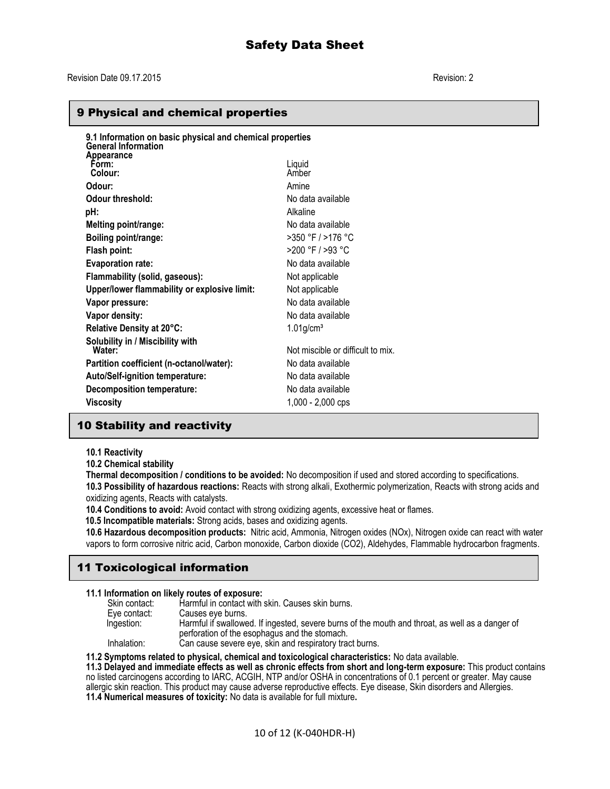### 9 Physical and chemical properties

| 9.1 Information on basic physical and chemical properties<br><b>General Information</b> |                                   |
|-----------------------------------------------------------------------------------------|-----------------------------------|
| <b>Appearance</b><br>Form:<br>Colour:                                                   | Liquid<br>Amber                   |
| Odour:                                                                                  | Amine                             |
| Odour threshold:                                                                        | No data available                 |
| pH:                                                                                     | Alkaline                          |
| Melting point/range:                                                                    | No data available                 |
| Boiling point/range:                                                                    | >350 °F / >176 °C                 |
| Flash point:                                                                            | >200 °F / >93 °C                  |
| <b>Evaporation rate:</b>                                                                | No data available                 |
| Flammability (solid, gaseous):                                                          | Not applicable                    |
| Upper/lower flammability or explosive limit:                                            | Not applicable                    |
| Vapor pressure:                                                                         | No data available                 |
| Vapor density:                                                                          | No data available                 |
| Relative Density at 20°C:                                                               | $1.01$ g/cm <sup>3</sup>          |
| Solubility in / Miscibility with<br>Water:                                              | Not miscible or difficult to mix. |
| Partition coefficient (n-octanol/water):                                                | No data available                 |
| <b>Auto/Self-ignition temperature:</b>                                                  | No data available                 |
| Decomposition temperature:                                                              | No data available                 |
| Viscosity                                                                               | $1,000 - 2,000$ cps               |
|                                                                                         |                                   |

# 10 Stability and reactivity

#### **10.1 Reactivity**

**10.2 Chemical stability**

**Thermal decomposition / conditions to be avoided:** No decomposition if used and stored according to specifications. **10.3 Possibility of hazardous reactions:** Reacts with strong alkali, Exothermic polymerization, Reacts with strong acids and oxidizing agents, Reacts with catalysts.

**10.4 Conditions to avoid:** Avoid contact with strong oxidizing agents, excessive heat or flames.

 **10.5 Incompatible materials:** Strong acids, bases and oxidizing agents.

**10.6 Hazardous decomposition products:** Nitric acid, Ammonia, Nitrogen oxides (NOx), Nitrogen oxide can react with water vapors to form corrosive nitric acid, Carbon monoxide, Carbon dioxide (CO2), Aldehydes, Flammable hydrocarbon fragments.

# 11 Toxicological information

#### **11.1 Information on likely routes of exposure:**

| Skin contact: | Harmful in contact with skin. Causes skin burns.                                                                                                 |
|---------------|--------------------------------------------------------------------------------------------------------------------------------------------------|
| Eve contact:  | Causes eve burns.                                                                                                                                |
| Ingestion:    | Harmful if swallowed. If ingested, severe burns of the mouth and throat, as well as a danger of<br>perforation of the esophagus and the stomach. |
| Inhalation:   | Can cause severe eye, skin and respiratory tract burns.                                                                                          |

#### **11.2 Symptoms related to physical, chemical and toxicological characteristics:** No data available.

**11.3 Delayed and immediate effects as well as chronic effects from short and long-term exposure:** This product contains no listed carcinogens according to IARC, ACGIH, NTP and/or OSHA in concentrations of 0.1 percent or greater. May cause allergic skin reaction. This product may cause adverse reproductive effects. Eye disease, Skin disorders and Allergies. **11.4 Numerical measures of toxicity:** No data is available for full mixture**.**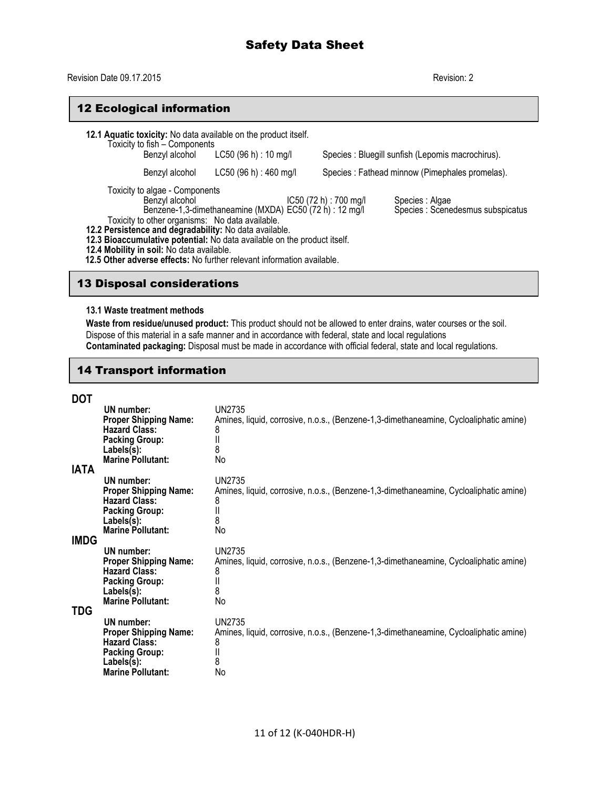# Revision Date 09.17.2015 Revision: 2

# 12 Ecological information

| Toxicity to fish - Components                                                                                                                                                                                                                                                                                                                                                                                                                                                                                 | 12.1 Aquatic toxicity: No data available on the product itself.<br>Benzyl alcohol LC50 (96 h) : 10 mg/l |                                                 | Species : Bluegill sunfish (Lepomis macrochirus). |
|---------------------------------------------------------------------------------------------------------------------------------------------------------------------------------------------------------------------------------------------------------------------------------------------------------------------------------------------------------------------------------------------------------------------------------------------------------------------------------------------------------------|---------------------------------------------------------------------------------------------------------|-------------------------------------------------|---------------------------------------------------|
| Benzyl alcohol                                                                                                                                                                                                                                                                                                                                                                                                                                                                                                | LC50(96 h): 460 mg/l                                                                                    | Species : Fathead minnow (Pimephales promelas). |                                                   |
| Toxicity to algae - Components<br>Benzyl alcohol<br>IC50 (72 h) : 700 mg/l<br>Species : Algae<br>Benzene-1,3-dimethaneamine (MXDA) EC50 (72 h) : 12 mg/l<br>Species : Scenedesmus subspicatus<br>Toxicity to other organisms: No data available.<br>12.2 Persistence and degradability: No data available.<br>12.3 Bioaccumulative potential: No data available on the product itself.<br>12.4 Mobility in soil: No data available.<br>12.5 Other adverse effects: No further relevant information available. |                                                                                                         |                                                 |                                                   |

# 13 Disposal considerations

### **13.1 Waste treatment methods**

**Waste from residue/unused product:** This product should not be allowed to enter drains, water courses or the soil. Dispose of this material in a safe manner and in accordance with federal, state and local regulations **Contaminated packaging:** Disposal must be made in accordance with official federal, state and local regulations.

# 14 Transport information

| <b>DOT</b>         | UN number:<br><b>Proper Shipping Name:</b><br><b>Hazard Class:</b><br><b>Packing Group:</b><br>Labels(s):<br><b>Marine Pollutant:</b> | <b>UN2735</b><br>Amines, liquid, corrosive, n.o.s., (Benzene-1,3-dimethaneamine, Cycloaliphatic amine)<br>8<br>ΙΙ<br>8<br>No |
|--------------------|---------------------------------------------------------------------------------------------------------------------------------------|------------------------------------------------------------------------------------------------------------------------------|
| <b>IATA</b>        | UN number:<br><b>Proper Shipping Name:</b><br><b>Hazard Class:</b><br><b>Packing Group:</b><br>Labels(s):<br><b>Marine Pollutant:</b> | UN2735<br>Amines, liquid, corrosive, n.o.s., (Benzene-1,3-dimethaneamine, Cycloaliphatic amine)<br>8<br>II<br>8<br>No        |
| <b>IMDG</b><br>TDG | UN number:<br><b>Proper Shipping Name:</b><br><b>Hazard Class:</b><br><b>Packing Group:</b><br>Labels(s):<br><b>Marine Pollutant:</b> | <b>UN2735</b><br>Amines, liquid, corrosive, n.o.s., (Benzene-1,3-dimethaneamine, Cycloaliphatic amine)<br>8<br>II<br>8<br>No |
|                    | UN number:<br><b>Proper Shipping Name:</b><br><b>Hazard Class:</b><br><b>Packing Group:</b><br>Labels(s):<br><b>Marine Pollutant:</b> | <b>UN2735</b><br>Amines, liquid, corrosive, n.o.s., (Benzene-1,3-dimethaneamine, Cycloaliphatic amine)<br>8<br>II<br>8<br>No |